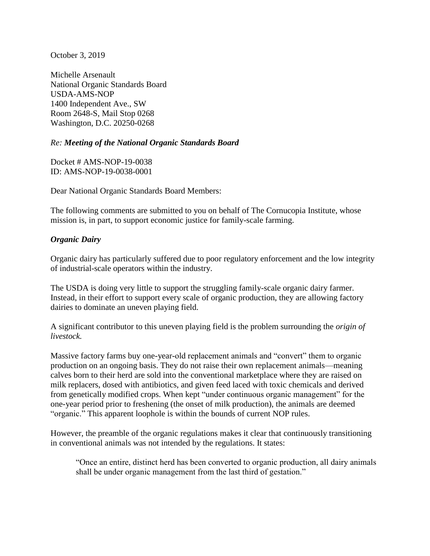October 3, 2019

Michelle Arsenault National Organic Standards Board USDA-AMS-NOP 1400 Independent Ave., SW Room 2648-S, Mail Stop 0268 Washington, D.C. 20250-0268

#### *Re: Meeting of the National Organic Standards Board*

Docket # AMS-NOP-19-0038 ID: AMS-NOP-19-0038-0001

Dear National Organic Standards Board Members:

The following comments are submitted to you on behalf of The Cornucopia Institute, whose mission is, in part, to support economic justice for family-scale farming.

#### *Organic Dairy*

Organic dairy has particularly suffered due to poor regulatory enforcement and the low integrity of industrial-scale operators within the industry.

The USDA is doing very little to support the struggling family-scale organic dairy farmer. Instead, in their effort to support every scale of organic production, they are allowing factory dairies to dominate an uneven playing field.

A significant contributor to this uneven playing field is the problem surrounding the *origin of livestock.*

Massive factory farms buy one-year-old replacement animals and "convert" them to organic production on an ongoing basis. They do not raise their own replacement animals—meaning calves born to their herd are sold into the conventional marketplace where they are raised on milk replacers, dosed with antibiotics, and given feed laced with toxic chemicals and derived from genetically modified crops. When kept "under continuous organic management" for the one-year period prior to freshening (the onset of milk production), the animals are deemed "organic." This apparent loophole is within the bounds of current NOP rules.

However, the preamble of the organic regulations makes it clear that continuously transitioning in conventional animals was not intended by the regulations. It states:

"Once an entire, distinct herd has been converted to organic production, all dairy animals shall be under organic management from the last third of gestation."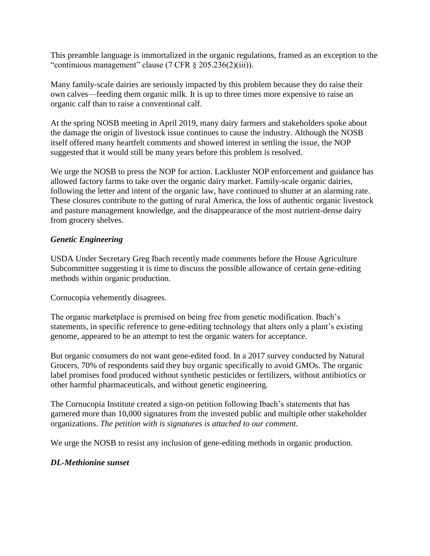This preamble language is immortalized in the organic regulations, framed as an exception to the "continuous management" clause (7 CFR § 205.236(2)(iii)).

Many family-scale dairies are seriously impacted by this problem because they do raise their own calves—feeding them organic milk. It is up to three times more expensive to raise an organic calf than to raise a conventional calf.

At the spring NOSB meeting in April 2019, many dairy farmers and stakeholders spoke about the damage the origin of livestock issue continues to cause the industry. Although the NOSB itself offered many heartfelt comments and showed interest in settling the issue, the NOP suggested that it would still be many years before this problem is resolved.

We urge the NOSB to press the NOP for action. Lackluster NOP enforcement and guidance has allowed factory farms to take over the organic dairy market. Family-scale organic dairies, following the letter and intent of the organic law, have continued to shutter at an alarming rate. These closures contribute to the gutting of rural America, the loss of authentic organic livestock and pasture management knowledge, and the disappearance of the most nutrient-dense dairy from grocery shelves.

#### *Genetic Engineering*

USDA Under Secretary Greg Ibach recently made comments before the House Agriculture Subcommittee suggesting it is time to discuss the possible allowance of certain gene-editing methods within organic production.

Cornucopia vehemently disagrees.

The organic marketplace is premised on being free from genetic modification. Ibach's statements, in specific reference to gene-editing technology that alters only a plant's existing genome, appeared to be an attempt to test the organic waters for acceptance.

But organic consumers do not want gene-edited food. In a 2017 survey conducted by Natural Grocers, 70% of respondents said they buy organic specifically to avoid GMOs. The organic label promises food produced without synthetic pesticides or fertilizers, without antibiotics or other harmful pharmaceuticals, and without genetic engineering.

The Cornucopia Institute created a sign-on petition following Ibach's statements that has garnered more than 10,000 signatures from the invested public and multiple other stakeholder organizations. *The petition with is signatures is attached to our comment.*

We urge the NOSB to resist any inclusion of gene-editing methods in organic production.

#### *DL-Methionine sunset*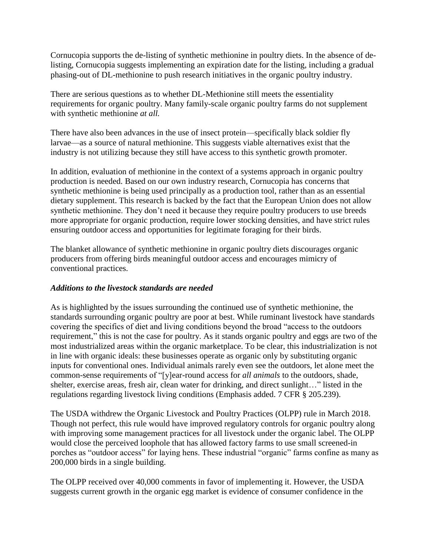Cornucopia supports the de-listing of synthetic methionine in poultry diets. In the absence of delisting, Cornucopia suggests implementing an expiration date for the listing, including a gradual phasing-out of DL-methionine to push research initiatives in the organic poultry industry.

There are serious questions as to whether DL-Methionine still meets the essentiality requirements for organic poultry. Many family-scale organic poultry farms do not supplement with synthetic methionine *at all.* 

There have also been advances in the use of insect protein—specifically black soldier fly larvae—as a source of natural methionine. This suggests viable alternatives exist that the industry is not utilizing because they still have access to this synthetic growth promoter.

In addition, evaluation of methionine in the context of a systems approach in organic poultry production is needed. Based on our own industry research, Cornucopia has concerns that synthetic methionine is being used principally as a production tool, rather than as an essential dietary supplement. This research is backed by the fact that the European Union does not allow synthetic methionine. They don't need it because they require poultry producers to use breeds more appropriate for organic production, require lower stocking densities, and have strict rules ensuring outdoor access and opportunities for legitimate foraging for their birds.

The blanket allowance of synthetic methionine in organic poultry diets discourages organic producers from offering birds meaningful outdoor access and encourages mimicry of conventional practices.

# *Additions to the livestock standards are needed*

As is highlighted by the issues surrounding the continued use of synthetic methionine, the standards surrounding organic poultry are poor at best. While ruminant livestock have standards covering the specifics of diet and living conditions beyond the broad "access to the outdoors requirement," this is not the case for poultry. As it stands organic poultry and eggs are two of the most industrialized areas within the organic marketplace. To be clear, this industrialization is not in line with organic ideals: these businesses operate as organic only by substituting organic inputs for conventional ones. Individual animals rarely even see the outdoors, let alone meet the common-sense requirements of "[y]ear-round access for *all animals* to the outdoors, shade, shelter, exercise areas, fresh air, clean water for drinking, and direct sunlight…" listed in the regulations regarding livestock living conditions (Emphasis added. 7 CFR § 205.239).

The USDA withdrew the Organic Livestock and Poultry Practices (OLPP) rule in March 2018. Though not perfect, this rule would have improved regulatory controls for organic poultry along with improving some management practices for all livestock under the organic label. The OLPP would close the perceived loophole that has allowed factory farms to use small screened-in porches as "outdoor access" for laying hens. These industrial "organic" farms confine as many as 200,000 birds in a single building.

The OLPP received over 40,000 comments in favor of implementing it. However, the USDA suggests current growth in the organic egg market is evidence of consumer confidence in the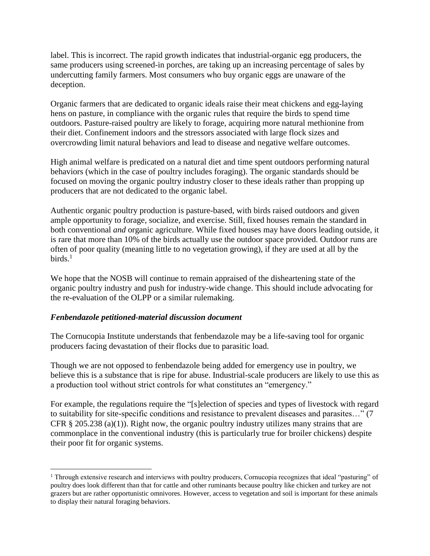label. This is incorrect. The rapid growth indicates that industrial-organic egg producers, the same producers using screened-in porches, are taking up an increasing percentage of sales by undercutting family farmers. Most consumers who buy organic eggs are unaware of the deception.

Organic farmers that are dedicated to organic ideals raise their meat chickens and egg-laying hens on pasture, in compliance with the organic rules that require the birds to spend time outdoors. Pasture-raised poultry are likely to forage, acquiring more natural methionine from their diet. Confinement indoors and the stressors associated with large flock sizes and overcrowding limit natural behaviors and lead to disease and negative welfare outcomes.

High animal welfare is predicated on a natural diet and time spent outdoors performing natural behaviors (which in the case of poultry includes foraging). The organic standards should be focused on moving the organic poultry industry closer to these ideals rather than propping up producers that are not dedicated to the organic label.

Authentic organic poultry production is pasture-based, with birds raised outdoors and given ample opportunity to forage, socialize, and exercise. Still, fixed houses remain the standard in both conventional *and* organic agriculture. While fixed houses may have doors leading outside, it is rare that more than 10% of the birds actually use the outdoor space provided. Outdoor runs are often of poor quality (meaning little to no vegetation growing), if they are used at all by the  $\rm{birds.}^1$ 

We hope that the NOSB will continue to remain appraised of the disheartening state of the organic poultry industry and push for industry-wide change. This should include advocating for the re-evaluation of the OLPP or a similar rulemaking.

# *Fenbendazole petitioned-material discussion document*

 $\overline{a}$ 

The Cornucopia Institute understands that fenbendazole may be a life-saving tool for organic producers facing devastation of their flocks due to parasitic load.

Though we are not opposed to fenbendazole being added for emergency use in poultry, we believe this is a substance that is ripe for abuse. Industrial-scale producers are likely to use this as a production tool without strict controls for what constitutes an "emergency."

For example, the regulations require the "[s]election of species and types of livestock with regard to suitability for site-specific conditions and resistance to prevalent diseases and parasites…" (7 CFR § 205.238 (a)(1)). Right now, the organic poultry industry utilizes many strains that are commonplace in the conventional industry (this is particularly true for broiler chickens) despite their poor fit for organic systems.

<sup>1</sup> Through extensive research and interviews with poultry producers, Cornucopia recognizes that ideal "pasturing" of poultry does look different than that for cattle and other ruminants because poultry like chicken and turkey are not grazers but are rather opportunistic omnivores. However, access to vegetation and soil is important for these animals to display their natural foraging behaviors.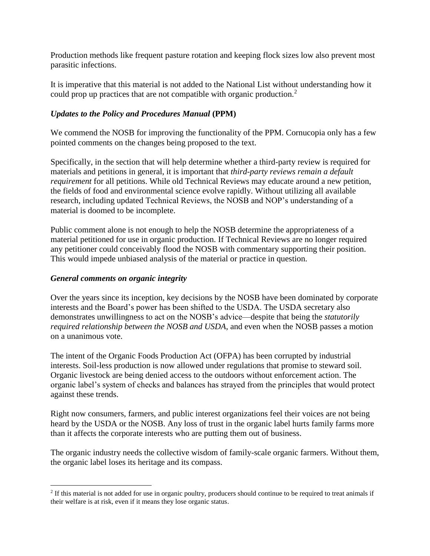Production methods like frequent pasture rotation and keeping flock sizes low also prevent most parasitic infections.

It is imperative that this material is not added to the National List without understanding how it could prop up practices that are not compatible with organic production.<sup>2</sup>

# *Updates to the Policy and Procedures Manual* **(PPM)**

We commend the NOSB for improving the functionality of the PPM. Cornucopia only has a few pointed comments on the changes being proposed to the text.

Specifically, in the section that will help determine whether a third-party review is required for materials and petitions in general, it is important that *third-party reviews remain a default requirement* for all petitions. While old Technical Reviews may educate around a new petition, the fields of food and environmental science evolve rapidly. Without utilizing all available research, including updated Technical Reviews, the NOSB and NOP's understanding of a material is doomed to be incomplete.

Public comment alone is not enough to help the NOSB determine the appropriateness of a material petitioned for use in organic production. If Technical Reviews are no longer required any petitioner could conceivably flood the NOSB with commentary supporting their position. This would impede unbiased analysis of the material or practice in question.

# *General comments on organic integrity*

 $\overline{a}$ 

Over the years since its inception, key decisions by the NOSB have been dominated by corporate interests and the Board's power has been shifted to the USDA. The USDA secretary also demonstrates unwillingness to act on the NOSB's advice—despite that being the *statutorily required relationship between the NOSB and USDA*, and even when the NOSB passes a motion on a unanimous vote.

The intent of the Organic Foods Production Act (OFPA) has been corrupted by industrial interests. Soil-less production is now allowed under regulations that promise to steward soil. Organic livestock are being denied access to the outdoors without enforcement action. The organic label's system of checks and balances has strayed from the principles that would protect against these trends.

Right now consumers, farmers, and public interest organizations feel their voices are not being heard by the USDA or the NOSB. Any loss of trust in the organic label hurts family farms more than it affects the corporate interests who are putting them out of business.

The organic industry needs the collective wisdom of family-scale organic farmers. Without them, the organic label loses its heritage and its compass.

<sup>&</sup>lt;sup>2</sup> If this material is not added for use in organic poultry, producers should continue to be required to treat animals if their welfare is at risk, even if it means they lose organic status.